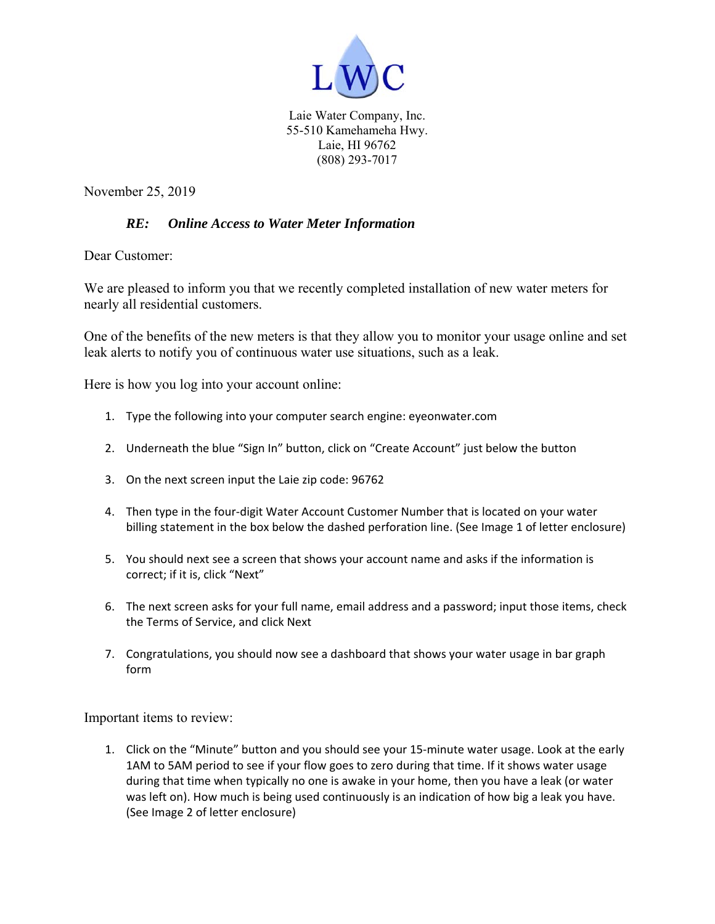

Laie Water Company, Inc. 55-510 Kamehameha Hwy. Laie, HI 96762 (808) 293-7017

November 25, 2019

#### *RE: Online Access to Water Meter Information*

Dear Customer:

We are pleased to inform you that we recently completed installation of new water meters for nearly all residential customers.

One of the benefits of the new meters is that they allow you to monitor your usage online and set leak alerts to notify you of continuous water use situations, such as a leak.

Here is how you log into your account online:

- 1. Type the following into your computer search engine: eyeonwater.com
- 2. Underneath the blue "Sign In" button, click on "Create Account" just below the button
- 3. On the next screen input the Laie zip code: 96762
- 4. Then type in the four-digit Water Account Customer Number that is located on your water billing statement in the box below the dashed perforation line. (See Image 1 of letter enclosure)
- 5. You should next see a screen that shows your account name and asks if the information is correct; if it is, click "Next"
- 6. The next screen asks for your full name, email address and a password; input those items, check the Terms of Service, and click Next
- 7. Congratulations, you should now see a dashboard that shows your water usage in bar graph form

Important items to review:

1. Click on the "Minute" button and you should see your 15-minute water usage. Look at the early 1AM to 5AM period to see if your flow goes to zero during that time. If it shows water usage during that time when typically no one is awake in your home, then you have a leak (or water was left on). How much is being used continuously is an indication of how big a leak you have. (See Image 2 of letter enclosure)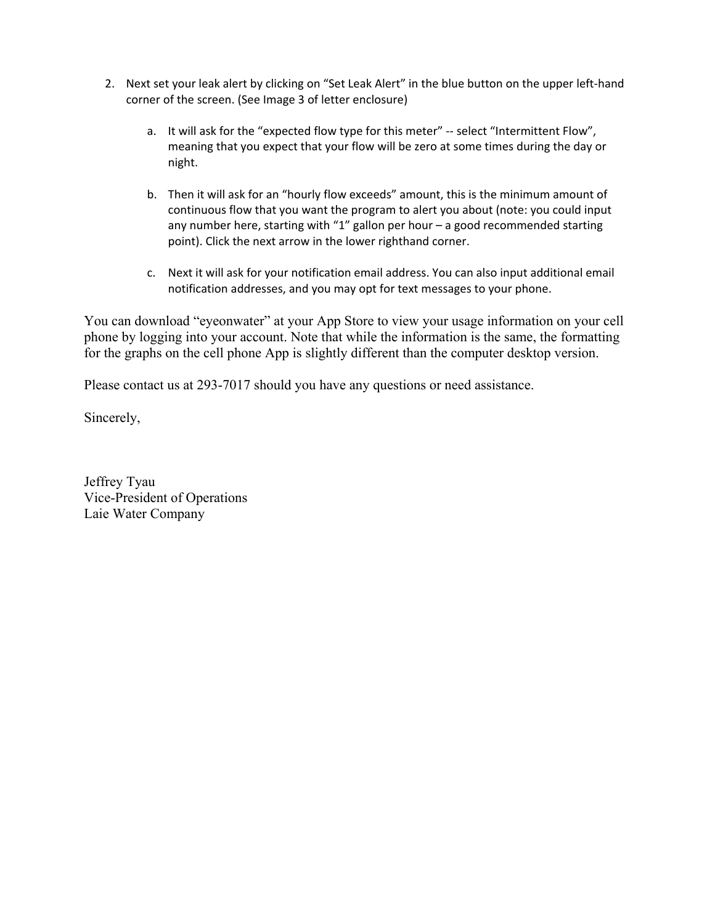- 2. Next set your leak alert by clicking on "Set Leak Alert" in the blue button on the upper left-hand corner of the screen. (See Image 3 of letter enclosure)
	- a. It will ask for the "expected flow type for this meter" -- select "Intermittent Flow", meaning that you expect that your flow will be zero at some times during the day or night.
	- b. Then it will ask for an "hourly flow exceeds" amount, this is the minimum amount of continuous flow that you want the program to alert you about (note: you could input any number here, starting with "1" gallon per hour – a good recommended starting point). Click the next arrow in the lower righthand corner.
	- c. Next it will ask for your notification email address. You can also input additional email notification addresses, and you may opt for text messages to your phone.

You can download "eyeonwater" at your App Store to view your usage information on your cell phone by logging into your account. Note that while the information is the same, the formatting for the graphs on the cell phone App is slightly different than the computer desktop version.

Please contact us at 293-7017 should you have any questions or need assistance.

Sincerely,

Jeffrey Tyau Vice-President of Operations Laie Water Company